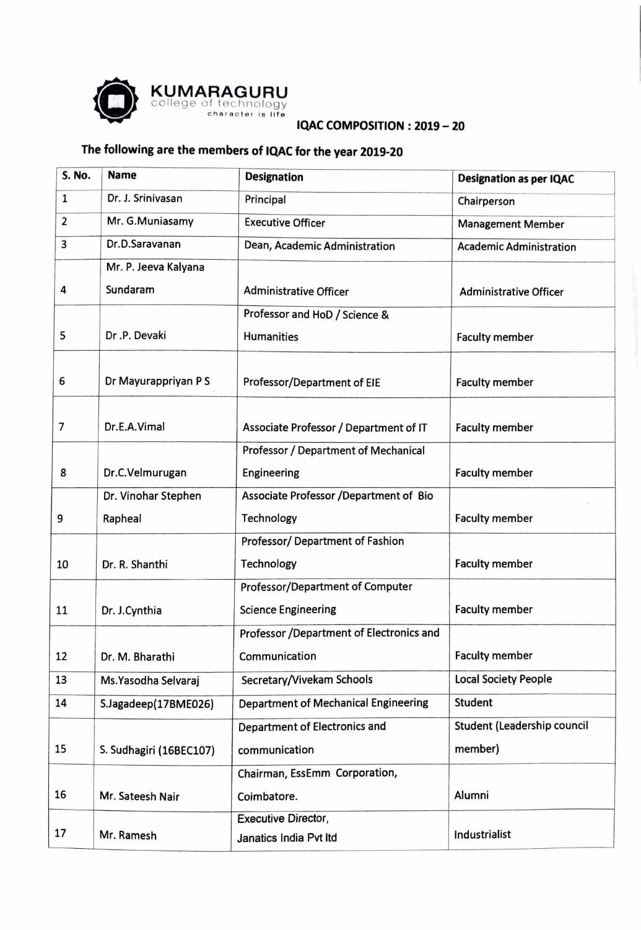

## **IQAC COMPOSITION** : **2019** - **20**

## **The following are the members of IQAC for the year 2019-20**

| S. No. | <b>Name</b>             | <b>Designation</b>                          | <b>Designation as per IQAC</b> |
|--------|-------------------------|---------------------------------------------|--------------------------------|
| 1      | Dr. J. Srinivasan       | Principal                                   | Chairperson                    |
| 2      | Mr. G.Muniasamy         | <b>Executive Officer</b>                    | <b>Management Member</b>       |
| 3      | Dr.D.Saravanan          | Dean, Academic Administration               | <b>Academic Administration</b> |
|        | Mr. P. Jeeva Kalyana    |                                             |                                |
| 4      | Sundaram                | <b>Administrative Officer</b>               | <b>Administrative Officer</b>  |
|        |                         | Professor and HoD / Science &               |                                |
| 5      | Dr.P. Devaki            | Humanities                                  | <b>Faculty member</b>          |
| 6      | Dr Mayurappriyan PS     | Professor/Department of EIE                 | <b>Faculty member</b>          |
| 7      | Dr.E.A.Vimal            | Associate Professor / Department of IT      | <b>Faculty member</b>          |
|        |                         | Professor / Department of Mechanical        |                                |
| 8      | Dr.C.Velmurugan         | Engineering                                 | <b>Faculty member</b>          |
|        | Dr. Vinohar Stephen     | Associate Professor /Department of Bio      |                                |
| 9      | Rapheal                 | Technology                                  | <b>Faculty member</b>          |
|        |                         | Professor/ Department of Fashion            |                                |
| 10     | Dr. R. Shanthi          | Technology                                  | <b>Faculty member</b>          |
|        |                         | Professor/Department of Computer            |                                |
| 11     | Dr. J.Cynthia           | <b>Science Engineering</b>                  | <b>Faculty member</b>          |
|        |                         | Professor /Department of Electronics and    |                                |
| 12     | Dr. M. Bharathi         | Communication                               | <b>Faculty member</b>          |
| 13     | Ms. Yasodha Selvaraj    | Secretary/Vivekam Schools                   | <b>Local Society People</b>    |
| 14     | S.Jagadeep(17BME026)    | <b>Department of Mechanical Engineering</b> | <b>Student</b>                 |
|        |                         | Department of Electronics and               | Student (Leadership council    |
| 15     | S. Sudhagiri (16BEC107) | communication                               | member)                        |
|        |                         | Chairman, EssEmm Corporation,               |                                |
| 16     | Mr. Sateesh Nair        | Coimbatore.                                 | Alumni                         |
|        |                         | <b>Executive Director,</b>                  |                                |
| 17     | Mr. Ramesh              | Janatics India Pvt Itd                      | Industrialist                  |